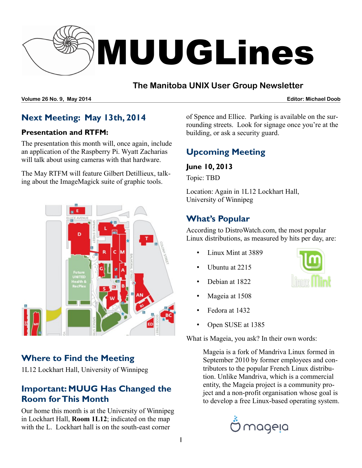

#### **The Manitoba UNIX User Group Newsletter**

**Volume 26 No. 9, May 2014 Editor: Michael Doob**

#### **Next Meeting: May 13th, 2014**

#### **Presentation and RTFM:**

The presentation this month will, once again, include an application of the Raspberry Pi. Wyatt Zacharias will talk about using cameras with that hardware.

The May RTFM will feature Gilbert Detillieux, talking about the ImageMagick suite of graphic tools.



#### **Where to Find the Meeting**

1L12 Lockhart Hall, University of Winnipeg

#### **Important: MUUG Has Changed the Room for This Month**

Our home this month is at the University of Winnipeg in Lockhart Hall, **Room 1L12**; indicated on the map with the L. Lockhart hall is on the south-east corner

of Spence and Ellice. Parking is available on the surrounding streets. Look for signage once you're at the building, or ask a security guard.

## **Upcoming Meeting**

#### **June 10, 2013**

Topic: TBD

Location: Again in 1L12 Lockhart Hall, University of Winnipeg

#### **What's Popular**

According to DistroWatch.com, the most popular Linux distributions, as measured by hits per day, are:

- Linux Mint at 3889
- Ubuntu at 2215
- Debian at 1822
- Mageia at 1508
- Fedora at 1432
- Open SUSE at 1385

What is Mageia, you ask? In their own words:

Mageia is a fork of Mandriva Linux formed in September 2010 by former employees and contributors to the popular French Linux distribution. Unlike Mandriva, which is a commercial entity, the Mageia project is a community project and a non-profit organisation whose goal is to develop a free Linux-based operating system.



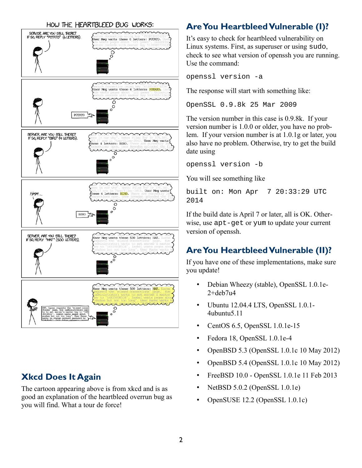#### HOW THE HEARTBLEED BUG WORKS:



#### **Xkcd Does It Again**

The cartoon appearing above is from xkcd and is as good an explanation of the heartbleed overrun bug as you will find. What a tour de force!

# **Are You Heartbleed Vulnerable (I)?**

It's easy to check for heartbleed vulnerability on Linux systems. First, as superuser or using sudo, check to see what version of openssh you are running. Use the command:

openssl version -a

The response will start with something like:

OpenSSL 0.9.8k 25 Mar 2009

The version number in this case is 0.9.8k. If your version number is 1.0.0 or older, you have no problem. If your version number is at 1.0.1g or later, you also have no problem. Otherwise, try to get the build date using

openssl version -b

You will see something like

built on: Mon Apr 7 20:33:29 UTC 2014

If the build date is April 7 or later, all is OK. Otherwise, use apt-get or yum to update your current version of openssh.

### **Are You Heartbleed Vulnerable (II)?**

If you have one of these implementations, make sure you update!

- Debian Wheezy (stable), OpenSSL 1.0.1e- $2+$ deb $7u4$
- Ubuntu 12.04.4 LTS, OpenSSL 1.0.1- 4ubuntu5.11
- CentOS 6.5, OpenSSL 1.0.1e-15
- Fedora 18, OpenSSL 1.0.1e-4
- OpenBSD 5.3 (OpenSSL 1.0.1c 10 May 2012)
- OpenBSD 5.4 (OpenSSL 1.0.1c 10 May 2012)
- FreeBSD 10.0 OpenSSL 1.0.1e 11 Feb 2013
- NetBSD 5.0.2 (OpenSSL 1.0.1e)
- OpenSUSE 12.2 (OpenSSL 1.0.1c)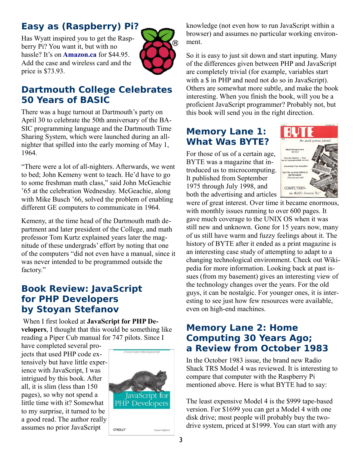# **Easy as (Raspberry) Pi?**

Has Wyatt inspired you to get the Raspberry Pi? You want it, but with no hassle? It's on **[Amazon.ca](http://amazon.ca/)** for \$44.95. Add the case and wireless card and the price is \$73.93.



#### **Dartmouth College Celebrates 50 Years of BASIC**

There was a huge turnout at Dartmouth's party on April 30 to celebrate the 50th anniversary of the BA-SIC programming language and the Dartmouth Time Sharing System, which were launched during an allnighter that spilled into the early morning of May 1, 1964.

"There were a lot of all-nighters. Afterwards, we went to bed; John Kemeny went to teach. He'd have to go to some freshman math class," said John McGeachie '65 at the celebration Wednesday. McGeachie, along with Mike Busch '66, solved the problem of enabling different GE computers to communicate in 1964.

Kemeny, at the time head of the Dartmouth math department and later president of the College, and math professor Tom Kurtz explained years later the magnitude of these undergrads' effort by noting that one of the computers "did not even have a manual, since it was never intended to be programmed outside the factory."

#### **Book Review: JavaScript for PHP Developers by Stoyan Stefanov**

 When I first looked at **JavaScript for PHP Developers**, I thought that this would be something like reading a Piper Cub manual for 747 pilots. Since I

have completed several projects that used PHP code extensively but have little experience with JavaScript, I was intrigued by this book. After all, it is slim (less than 150 pages), so why not spend a little time with it? Somewhat to my surprise, it turned to be a good read. The author really assumes no prior JavaScript



knowledge (not even how to run JavaScript within a browser) and assumes no particular working environment.

So it is easy to just sit down and start inputing. Many of the differences given between PHP and JavaScript are completely trivial (for example, variables start with a \$ in PHP and need not do so in JavaScript). Others are somewhat more subtle, and make the book interesting. When you finish the book, will you be a proficient JavaScript programmer? Probably not, but this book will send you in the right direction.

#### **Memory Lane 1: What Was BYTE?**

For those of us of a certain age, BYTE was a magazine that introduced us to microcomputing. It published from September 1975 through July 1998, and both the advertising and articles



were of great interest. Over time it became enormous, with monthly issues running to over 600 pages. It gave much coverage to the UNIX OS when it was still new and unknown. Gone for 15 years now, many of us still have warm and fuzzy feelings about it. The history of BYTE after it ended as a print magazine is an interesting case study of attempting to adapt to a changing technological environment. Check out Wikipedia for more information. Looking back at past issues (from my basement) gives an interesting view of the technology changes over the years. For the old guys, it can be nostalgic. For younger ones, it is interesting to see just how few resources were available, even on high-end machines.

#### **Memory Lane 2: Home Computing 30 Years Ago; a Review from October 1983**

In the October 1983 issue, the brand new Radio Shack TRS Model 4 was reviewed. It is interesting to compare that computer with the Raspberry Pi mentioned above. Here is what BYTE had to say:

The least expensive Model 4 is the \$999 tape-based version. For \$1699 you can get a Model 4 with one disk drive; most people will probably buy the twodrive system, priced at \$1999. You can start with any